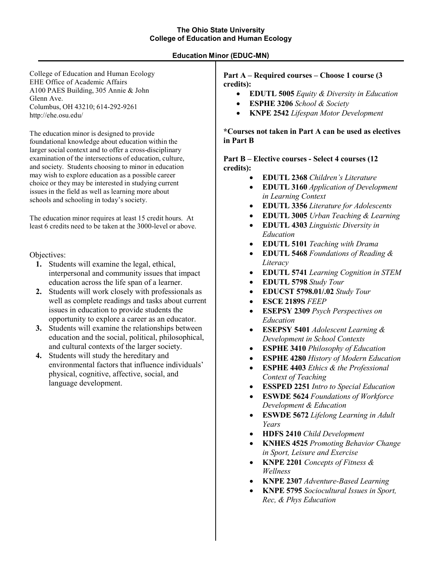# **The Ohio State University College of Education and Human Ecology**

# **Education Minor (EDUC-MN)**

College of Education and Human Ecology EHE Office of Academic Affairs A100 PAES Building, 305 Annie & John Glenn Ave. Columbus, OH 43210; 614-292-9261 http://ehe.osu.edu/

The education minor is designed to provide foundational knowledge about education within the larger social context and to offer a cross-disciplinary examination of the intersections of education, culture, and society. Students choosing to minor in education may wish to explore education as a possible career choice or they may be interested in studying current issues in the field as well as learning more about schools and schooling in today's society.

The education minor requires at least 15 credit hours. At least 6 credits need to be taken at the 3000-level or above.

Objectives:

- **1.** Students will examine the legal, ethical, interpersonal and community issues that impact education across the life span of a learner.
- **2.** Students will work closely with professionals as well as complete readings and tasks about current issues in education to provide students the opportunity to explore a career as an educator.
- **3.** Students will examine the relationships between education and the social, political, philosophical, and cultural contexts of the larger society.
- **4.** Students will study the hereditary and environmental factors that influence individuals' physical, cognitive, affective, social, and language development.

**Part A – Required courses – Choose 1 course (3 credits):**

- **EDUTL 5005** *Equity & Diversity in Education*
- **ESPHE 3206** *School & Society*
- **KNPE 2542** *Lifespan Motor Development*

**\*Courses not taken in Part A can be used as electives in Part B**

**Part B – Elective courses - Select 4 courses (12 credits):**

- **EDUTL 2368** *Children's Literature*
- **EDUTL 3160** *Application of Development in Learning Context*
- **EDUTL 3356** *Literature for Adolescents*
- **EDUTL 3005** *Urban Teaching & Learning*
- **EDUTL 4303** *Linguistic Diversity in Education*
- **EDUTL 5101** *Teaching with Drama*
- **EDUTL 5468** *Foundations of Reading & Literacy*
- **EDUTL 5741** *Learning Cognition in STEM*
- **EDUTL 5798** *Study Tour*
- **EDUCST 5798.01/.02** *Study Tour*
- **ESCE 2189S** *FEEP*
- **ESEPSY 2309** *Psych Perspectives on Education*
- **ESEPSY 5401** *Adolescent Learning & Development in School Contexts*
- **ESPHE 3410** *Philosophy of Education*
- **ESPHE 4280** *History of Modern Education*
- **ESPHE 4403** *Ethics & the Professional Context of Teaching*
- **ESSPED 2251** *Intro to Special Education*
- **ESWDE 5624** *Foundations of Workforce Development & Education*
- **ESWDE 5672** *Lifelong Learning in Adult Years*
- **HDFS 2410** *Child Development*
- **KNHES 4525** *Promoting Behavior Change in Sport, Leisure and Exercise*
- **KNPE 2201** *Concepts of Fitness & Wellness*
- **KNPE 2307** *Adventure-Based Learning*
- **KNPE 5795** *Sociocultural Issues in Sport, Rec, & Phys Education*